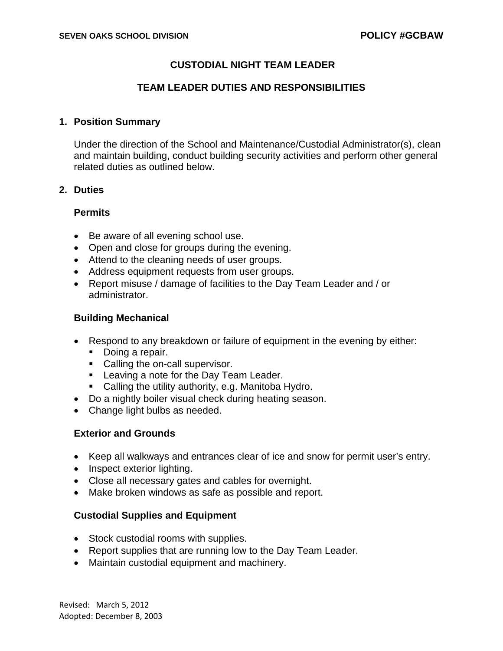# **CUSTODIAL NIGHT TEAM LEADER**

# **TEAM LEADER DUTIES AND RESPONSIBILITIES**

### **1. Position Summary**

Under the direction of the School and Maintenance/Custodial Administrator(s), clean and maintain building, conduct building security activities and perform other general related duties as outlined below.

### **2. Duties**

### **Permits**

- Be aware of all evening school use.
- Open and close for groups during the evening.
- Attend to the cleaning needs of user groups.
- Address equipment requests from user groups.
- Report misuse / damage of facilities to the Day Team Leader and / or administrator.

# **Building Mechanical**

- Respond to any breakdown or failure of equipment in the evening by either:
	- Doing a repair.
	- Calling the on-call supervisor.
	- **Leaving a note for the Day Team Leader.**
	- **Calling the utility authority, e.g. Manitoba Hydro.**
- Do a nightly boiler visual check during heating season.
- Change light bulbs as needed.

# **Exterior and Grounds**

- Keep all walkways and entrances clear of ice and snow for permit user's entry.
- Inspect exterior lighting.
- Close all necessary gates and cables for overnight.
- Make broken windows as safe as possible and report.

# **Custodial Supplies and Equipment**

- Stock custodial rooms with supplies.
- Report supplies that are running low to the Day Team Leader.
- Maintain custodial equipment and machinery.

Revised: March 5, 2012 Adopted: December 8, 2003